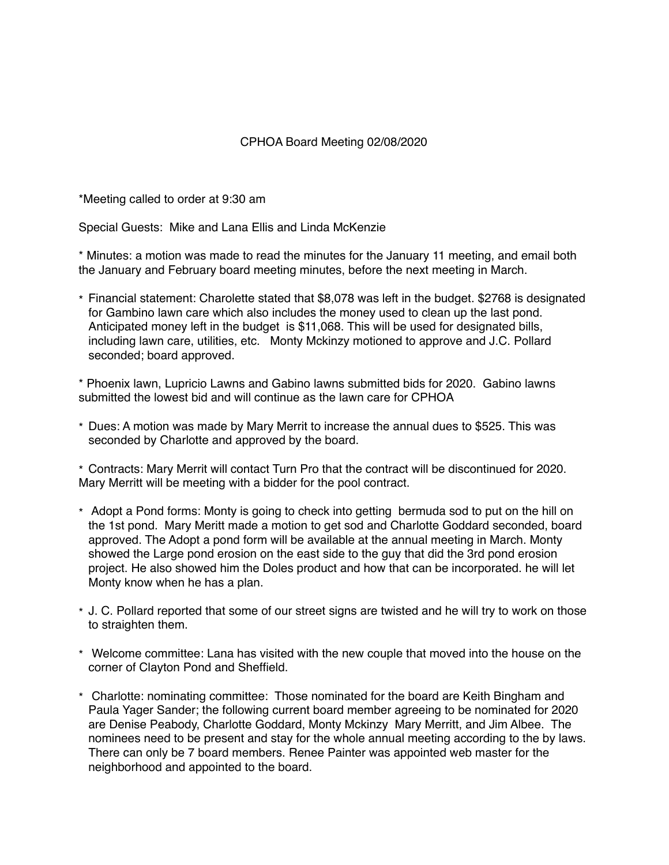## CPHOA Board Meeting 02/08/2020

\*Meeting called to order at 9:30 am

Special Guests: Mike and Lana Ellis and Linda McKenzie

\* Minutes: a motion was made to read the minutes for the January 11 meeting, and email both the January and February board meeting minutes, before the next meeting in March.

\* Financial statement: Charolette stated that \$8,078 was left in the budget. \$2768 is designated for Gambino lawn care which also includes the money used to clean up the last pond. Anticipated money left in the budget is \$11,068. This will be used for designated bills, including lawn care, utilities, etc. Monty Mckinzy motioned to approve and J.C. Pollard seconded; board approved.

\* Phoenix lawn, Lupricio Lawns and Gabino lawns submitted bids for 2020. Gabino lawns submitted the lowest bid and will continue as the lawn care for CPHOA

\* Dues: A motion was made by Mary Merrit to increase the annual dues to \$525. This was seconded by Charlotte and approved by the board.

\* Contracts: Mary Merrit will contact Turn Pro that the contract will be discontinued for 2020. Mary Merritt will be meeting with a bidder for the pool contract.

- \* Adopt a Pond forms: Monty is going to check into getting bermuda sod to put on the hill on the 1st pond. Mary Meritt made a motion to get sod and Charlotte Goddard seconded, board approved. The Adopt a pond form will be available at the annual meeting in March. Monty showed the Large pond erosion on the east side to the guy that did the 3rd pond erosion project. He also showed him the Doles product and how that can be incorporated. he will let Monty know when he has a plan.
- \* J. C. Pollard reported that some of our street signs are twisted and he will try to work on those to straighten them.
- \* Welcome committee: Lana has visited with the new couple that moved into the house on the corner of Clayton Pond and Sheffield.
- \* Charlotte: nominating committee: Those nominated for the board are Keith Bingham and Paula Yager Sander; the following current board member agreeing to be nominated for 2020 are Denise Peabody, Charlotte Goddard, Monty Mckinzy Mary Merritt, and Jim Albee. The nominees need to be present and stay for the whole annual meeting according to the by laws. There can only be 7 board members. Renee Painter was appointed web master for the neighborhood and appointed to the board.